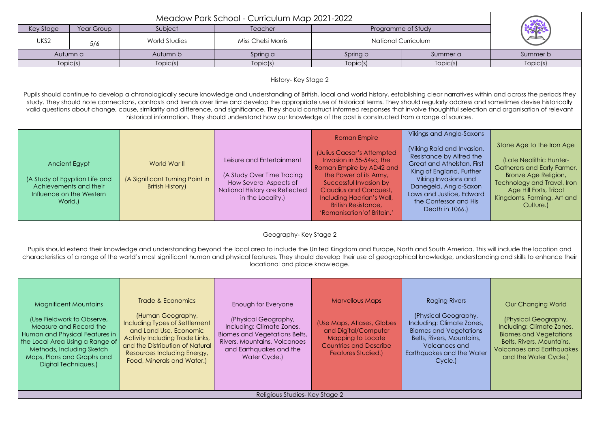| Meadow Park School - Curriculum Map 2021-2022                                                                                                                                                                                                                                                                                                                                                                                                                                                                                                                                                                                                                                                                 |                                                                                                                                                                                                                                              |                                                                                                                                                                                                                                      |                                                                                                                                                                                       |                                                                                                                                                                                                                                                                                   |                                                                                                                                                                                                                                                                       |                                                                                                                                                                                                                 |
|---------------------------------------------------------------------------------------------------------------------------------------------------------------------------------------------------------------------------------------------------------------------------------------------------------------------------------------------------------------------------------------------------------------------------------------------------------------------------------------------------------------------------------------------------------------------------------------------------------------------------------------------------------------------------------------------------------------|----------------------------------------------------------------------------------------------------------------------------------------------------------------------------------------------------------------------------------------------|--------------------------------------------------------------------------------------------------------------------------------------------------------------------------------------------------------------------------------------|---------------------------------------------------------------------------------------------------------------------------------------------------------------------------------------|-----------------------------------------------------------------------------------------------------------------------------------------------------------------------------------------------------------------------------------------------------------------------------------|-----------------------------------------------------------------------------------------------------------------------------------------------------------------------------------------------------------------------------------------------------------------------|-----------------------------------------------------------------------------------------------------------------------------------------------------------------------------------------------------------------|
| Key Stage                                                                                                                                                                                                                                                                                                                                                                                                                                                                                                                                                                                                                                                                                                     | Year Group                                                                                                                                                                                                                                   | Subject                                                                                                                                                                                                                              | Teacher                                                                                                                                                                               | Programme of Study                                                                                                                                                                                                                                                                |                                                                                                                                                                                                                                                                       |                                                                                                                                                                                                                 |
| UKS2                                                                                                                                                                                                                                                                                                                                                                                                                                                                                                                                                                                                                                                                                                          | 5/6                                                                                                                                                                                                                                          | World Studies                                                                                                                                                                                                                        | Miss Chelsi Morris                                                                                                                                                                    | <b>National Curriculum</b>                                                                                                                                                                                                                                                        |                                                                                                                                                                                                                                                                       |                                                                                                                                                                                                                 |
|                                                                                                                                                                                                                                                                                                                                                                                                                                                                                                                                                                                                                                                                                                               | Autumn a                                                                                                                                                                                                                                     | Autumn b                                                                                                                                                                                                                             | Spring a                                                                                                                                                                              | Spring b                                                                                                                                                                                                                                                                          | Summer a                                                                                                                                                                                                                                                              | Summer b                                                                                                                                                                                                        |
|                                                                                                                                                                                                                                                                                                                                                                                                                                                                                                                                                                                                                                                                                                               | Topic(s)                                                                                                                                                                                                                                     | Topic(s)                                                                                                                                                                                                                             | Topic(s)                                                                                                                                                                              | Topic(s)                                                                                                                                                                                                                                                                          | Topic(s)                                                                                                                                                                                                                                                              | Topic(s)                                                                                                                                                                                                        |
|                                                                                                                                                                                                                                                                                                                                                                                                                                                                                                                                                                                                                                                                                                               | History-Key Stage 2                                                                                                                                                                                                                          |                                                                                                                                                                                                                                      |                                                                                                                                                                                       |                                                                                                                                                                                                                                                                                   |                                                                                                                                                                                                                                                                       |                                                                                                                                                                                                                 |
| Pupils should continue to develop a chronologically secure knowledge and understanding of British, local and world history, establishing clear narratives within and across the periods they<br>study. They should note connections, contrasts and trends over time and develop the appropriate use of historical terms. They should regularly address and sometimes devise historically<br>valid questions about change, cause, similarity and difference, and significance. They should construct informed responses that involve thoughtful selection and organisation of relevant<br>historical information. They should understand how our knowledge of the past is constructed from a range of sources. |                                                                                                                                                                                                                                              |                                                                                                                                                                                                                                      |                                                                                                                                                                                       |                                                                                                                                                                                                                                                                                   |                                                                                                                                                                                                                                                                       |                                                                                                                                                                                                                 |
|                                                                                                                                                                                                                                                                                                                                                                                                                                                                                                                                                                                                                                                                                                               | Ancient Egypt<br>(A Study of Egyptian Life and<br>Achievements and their<br>Influence on the Western<br>World.)                                                                                                                              | World War II<br>(A Significant Turning Point in<br><b>British History)</b>                                                                                                                                                           | Leisure and Entertainment<br>(A Study Over Time Tracing<br>How Several Aspects of<br>National History are Reflected<br>in the Locality.)                                              | <b>Roman Empire</b><br>(Julius Caesar's Attempted<br>Invasion in 55-54sc, the<br>Roman Empire by AD42 and<br>the Power of its Army,<br>Successful Invasion by<br>Claudius and Conquest,<br>Including Hadrian's Wall,<br><b>British Resistance,</b><br>'Romanisation' of Britain.' | Vikings and Anglo-Saxons<br>(Viking Raid and Invasion,<br>Resistance by Alfred the<br>Great and Athelstan, First<br>King of England, Further<br>Viking Invasions and<br>Danegeld, Anglo-Saxon<br>Laws and Justice, Edward<br>the Confessor and His<br>Death in 1066.) | Stone Age to the Iron Age<br>(Late Neolithic Hunter-<br>Gatherers and Early Farmer,<br>Bronze Age Religion,<br>Technology and Travel, Iron<br>Age Hill Forts, Tribal<br>Kingdoms, Farming, Art and<br>Culture.) |
| Geography-Key Stage 2<br>Pupils should extend their knowledge and understanding beyond the local area to include the United Kingdom and Europe, North and South America. This will include the location and<br>characteristics of a range of the world's most significant human and physical features. They should develop their use of geographical knowledge, understanding and skills to enhance their<br>locational and place knowledge.                                                                                                                                                                                                                                                                  |                                                                                                                                                                                                                                              |                                                                                                                                                                                                                                      |                                                                                                                                                                                       |                                                                                                                                                                                                                                                                                   |                                                                                                                                                                                                                                                                       |                                                                                                                                                                                                                 |
|                                                                                                                                                                                                                                                                                                                                                                                                                                                                                                                                                                                                                                                                                                               | <b>Magnificent Mountains</b><br>(Use Fieldwork to Observe,<br>Measure and Record the<br>Human and Physical Features in<br>the Local Area Using a Range of<br>Methods, Including Sketch<br>Maps, Plans and Graphs and<br>Digital Techniques.) | Trade & Economics<br>(Human Geography,<br>Including Types of Settlement<br>and Land Use, Economic<br>Activity Including Trade Links,<br>and the Distribution of Natural<br>Resources Including Energy,<br>Food, Minerals and Water.) | Enough for Everyone<br>(Physical Geography,<br>Including: Climate Zones,<br>Biomes and Vegetations Belts,<br>Rivers, Mountains, Volcanoes<br>and Earthquakes and the<br>Water Cycle.) | <b>Marvellous Maps</b><br>(Use Maps, Atlases, Globes<br>and Digital/Computer<br>Mapping to Locate<br><b>Countries and Describe</b><br><b>Features Studied.)</b>                                                                                                                   | <b>Raging Rivers</b><br>(Physical Geography,<br>Including: Climate Zones,<br><b>Biomes and Vegetations</b><br>Belts, Rivers, Mountains,<br><b>Volcanoes and</b><br>Earthquakes and the Water<br>Cycle.)                                                               | Our Changing World<br>(Physical Geography,<br>Including: Climate Zones,<br><b>Biomes and Vegetations</b><br>Belts, Rivers, Mountains,<br><b>Volcanoes and Earthquakes</b><br>and the Water Cycle.)              |
| Religious Studies- Key Stage 2                                                                                                                                                                                                                                                                                                                                                                                                                                                                                                                                                                                                                                                                                |                                                                                                                                                                                                                                              |                                                                                                                                                                                                                                      |                                                                                                                                                                                       |                                                                                                                                                                                                                                                                                   |                                                                                                                                                                                                                                                                       |                                                                                                                                                                                                                 |

| Summer b |  |  |  |
|----------|--|--|--|
| Topic(s) |  |  |  |
|          |  |  |  |

| <b>Saxons</b>                                                                                         |                                                                                                                                                                                                                 |
|-------------------------------------------------------------------------------------------------------|-----------------------------------------------------------------------------------------------------------------------------------------------------------------------------------------------------------------|
| Invasion,<br>fred the<br>stan, First<br>, Further<br>is and<br>o-Saxon<br>, Edward<br>and His<br>56.) | Stone Age to the Iron Age<br>(Late Neolithic Hunter-<br>Gatherers and Early Farmer,<br>Bronze Age Religion,<br>Technology and Travel, Iron<br>Age Hill Forts, Tribal<br>Kingdoms, Farming, Art and<br>Culture.) |

| ers                                                           | <b>Our Changing World</b>                                                                                                                                                    |
|---------------------------------------------------------------|------------------------------------------------------------------------------------------------------------------------------------------------------------------------------|
| raphy,<br>e Zones,<br>etations<br>,untains<br>and<br>he Water | (Physical Geography,<br>Including: Climate Zones,<br><b>Biomes and Vegetations</b><br>Belts, Rivers, Mountains,<br><b>Volcanoes and Earthquakes</b><br>and the Water Cycle.) |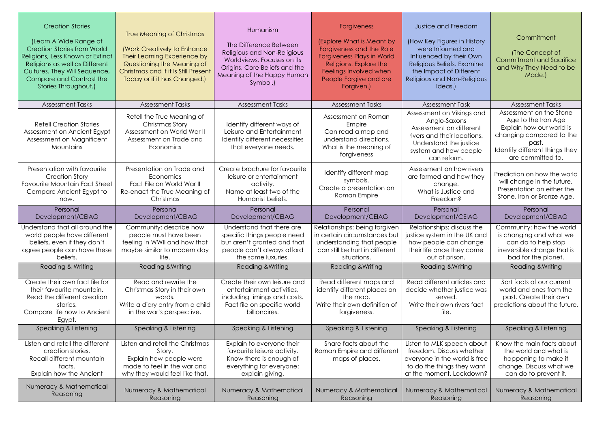| <b>Creation Stories</b><br>(Learn A Wide Range of<br><b>Creation Stories from World</b><br>Religions, Less Known or Extinct<br>Religions as well as Different<br>Cultures. They Will Sequence,<br>Compare and Contrast the<br>Stories Throughout.) | <b>True Meaning of Christmas</b><br><b>(Work Creatively to Enhance</b><br>Their Learning Experience by<br>Questioning the Meaning of<br>Christmas and if it Is Still Present<br>Today or if it has Changed.) | Humanism<br>The Difference Between<br>Religious and Non-Religious<br>Worldviews. Focuses on its<br>Origins, Core Beliefs and the<br>Meaning of the Happy Human<br>Symbol.) | <b>Forgiveness</b><br>(Explore What is Meant by<br>Forgiveness and the Role<br><b>Forgiveness Plays in World</b><br>Religions. Explore the<br>Feelings Involved when<br>People Forgive and are<br>Forgiven.) | <b>Justice and Freedom</b><br>(How Key Figures in History<br>were Informed and<br>Influenced by their Own<br>Religious Beliefs. Examine<br>the Impact of Different<br>Religious and Non-Religious<br>Ideas.) | Commitment<br>(The Concept of<br><b>Commitment and Sacrifice</b><br>and Why They Need to be<br>Made.)                                                                  |
|----------------------------------------------------------------------------------------------------------------------------------------------------------------------------------------------------------------------------------------------------|--------------------------------------------------------------------------------------------------------------------------------------------------------------------------------------------------------------|----------------------------------------------------------------------------------------------------------------------------------------------------------------------------|--------------------------------------------------------------------------------------------------------------------------------------------------------------------------------------------------------------|--------------------------------------------------------------------------------------------------------------------------------------------------------------------------------------------------------------|------------------------------------------------------------------------------------------------------------------------------------------------------------------------|
| <b>Assessment Tasks</b>                                                                                                                                                                                                                            | <b>Assessment Tasks</b>                                                                                                                                                                                      | <b>Assessment Tasks</b>                                                                                                                                                    | <b>Assessment Tasks</b>                                                                                                                                                                                      | <b>Assessment Task</b>                                                                                                                                                                                       | <b>Assessment Tasks</b>                                                                                                                                                |
| <b>Retell Creation Stories</b><br>Assessment on Ancient Egypt<br>Assessment on Magnificent<br><b>Mountains</b>                                                                                                                                     | Retell the True Meaning of<br>Christmas Story<br>Assessment on World War II<br>Assessment on Trade and<br>Economics                                                                                          | Identify different ways of<br>Leisure and Entertainment<br>Identify different necessities<br>that everyone needs.                                                          | Assessment on Roman<br>Empire<br>Can read a map and<br>understand directions.<br>What is the meaning of<br>forgiveness                                                                                       | Assessment on Vikings and<br>Anglo-Saxons<br>Assessment on different<br>rivers and their locations.<br>Understand the justice<br>system and how people<br>can reform.                                        | Assessment on the Stone<br>Age to the Iron Age<br>Explain how our world is<br>changing compared to the<br>past.<br>Identify different things they<br>are committed to. |
| Presentation with favourite<br><b>Creation Story</b><br><b>Favourite Mountain Fact Sheet</b><br>Compare Ancient Egypt to<br>now.                                                                                                                   | Presentation on Trade and<br>Economics<br>Fact File on World War II<br>Re-enact the True Meaning of<br>Christmas                                                                                             | Create brochure for favourite<br>leisure or entertainment<br>activity.<br>Name at least two of the<br>Humanist beliefs.                                                    | Identify different map<br>symbols.<br>Create a presentation on<br>Roman Empire                                                                                                                               | Assessment on how rivers<br>are formed and how they<br>change.<br>What is Justice and<br>Freedom?                                                                                                            | Prediction on how the world<br>will change in the future.<br>Presentation on either the<br>Stone, Iron or Bronze Age.                                                  |
| Personal<br>Development/CEIAG                                                                                                                                                                                                                      | Personal<br>Development/CEIAG                                                                                                                                                                                | Personal<br>Development/CEIAG                                                                                                                                              | Personal<br>Development/CEIAG                                                                                                                                                                                | Personal<br>Development/CEIAG                                                                                                                                                                                | Personal<br>Development/CEIAG                                                                                                                                          |
| Understand that all around the<br>world people have different<br>beliefs, even if they don't<br>agree people can have these<br>beliefs.                                                                                                            | Community: describe how<br>people must have been<br>feeling in WWII and how that<br>maybe similar to modern day<br>life.                                                                                     | Understand that there are<br>specific things people need<br>but aren't granted and that<br>people can't always afford<br>the same luxuries.                                | Relationships: being forgiven<br>in certain circumstances but<br>understanding that people<br>can still be hurt in different<br>situations.                                                                  | Relationships: discuss the<br>justice system in the UK and<br>how people can change<br>their life once they come<br>out of prison.                                                                           | Community: how the world<br>is changing and what we<br>can do to help stop<br>irreversible change that is<br>bad for the planet.                                       |
| <b>Reading &amp; Writing</b>                                                                                                                                                                                                                       | <b>Reading &amp; Writing</b>                                                                                                                                                                                 | Reading & Writing                                                                                                                                                          | <b>Reading &amp; Writing</b>                                                                                                                                                                                 | Reading & Writing                                                                                                                                                                                            | <b>Reading &amp; Writing</b>                                                                                                                                           |
| Create their own fact file for<br>their favourite mountain.<br>Read the different creation<br>stories.<br>Compare life now to Ancient<br>Egypt.                                                                                                    | Read and rewrite the<br>Christmas Story in their own<br>words.<br>Write a diary entry from a child<br>in the war's perspective.                                                                              | Create their own leisure and<br>entertainment activities,<br>including timings and costs.<br>Fact file on specific world<br>billionaires.                                  | Read different maps and<br>identify different places on<br>the map.<br>Write their own definition of<br>forgiveness.                                                                                         | Read different articles and<br>decide whether justice was<br>served.<br>Write their own rivers fact<br>file.                                                                                                 | Sort facts of our current<br>world and ones from the<br>past. Create their own<br>predictions about the future.                                                        |
| Speaking & Listening                                                                                                                                                                                                                               | Speaking & Listening                                                                                                                                                                                         | Speaking & Listening                                                                                                                                                       | Speaking & Listening                                                                                                                                                                                         | Speaking & Listening                                                                                                                                                                                         | Speaking & Listening                                                                                                                                                   |
| Listen and retell the different<br>creation stories.<br>Recall different mountain<br>facts.<br>Explain how the Ancient                                                                                                                             | Listen and retell the Christmas<br>Story.<br>Explain how people were<br>made to feel in the war and<br>why they would feel like that.                                                                        | Explain to everyone their<br>favourite leisure activity.<br>Know there is enough of<br>everything for everyone:<br>explain giving.                                         | Share facts about the<br>Roman Empire and different<br>maps of places.                                                                                                                                       | Listen to MLK speech about<br>freedom. Discuss whether<br>everyone in the world is free<br>to do the things they want<br>at the moment. Lockdown?                                                            | Know the main facts about<br>the world and what is<br>happening to make it<br>change. Discuss what we<br>can do to prevent it.                                         |
| Numeracy & Mathematical<br>Reasoning                                                                                                                                                                                                               | Numeracy & Mathematical<br>Reasoning                                                                                                                                                                         | Numeracy & Mathematical<br>Reasoning                                                                                                                                       | Numeracy & Mathematical<br>Reasoning                                                                                                                                                                         | Numeracy & Mathematical<br>Reasoning                                                                                                                                                                         | Numeracy & Mathematical<br>Reasoning                                                                                                                                   |